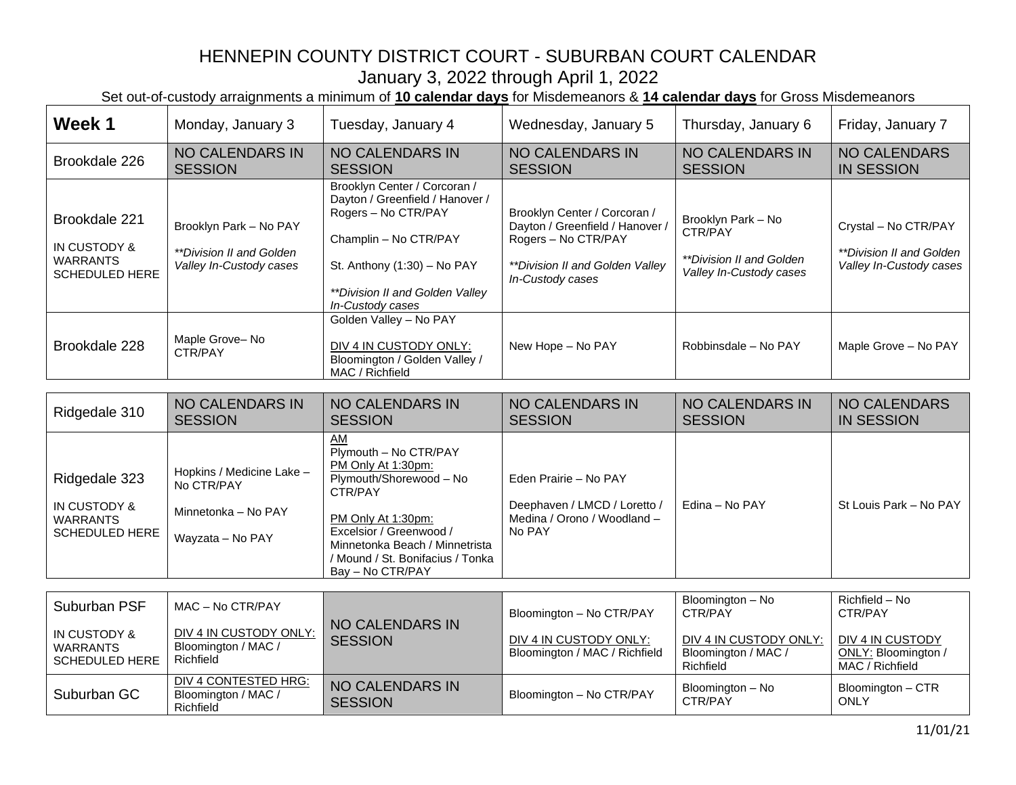| Week 1                                                                    | Monday, January 3                                                                  | Tuesday, January 4                                                                                                                                                                                                                 | Wednesday, January 5                                                                                                                          | Thursday, January 6                                                                         | Friday, January 7                                                           |
|---------------------------------------------------------------------------|------------------------------------------------------------------------------------|------------------------------------------------------------------------------------------------------------------------------------------------------------------------------------------------------------------------------------|-----------------------------------------------------------------------------------------------------------------------------------------------|---------------------------------------------------------------------------------------------|-----------------------------------------------------------------------------|
| Brookdale 226                                                             | <b>NO CALENDARS IN</b><br><b>SESSION</b>                                           | <b>NO CALENDARS IN</b><br><b>SESSION</b>                                                                                                                                                                                           | <b>NO CALENDARS IN</b><br><b>SESSION</b>                                                                                                      | <b>NO CALENDARS IN</b><br><b>SESSION</b>                                                    | <b>NO CALENDARS</b><br><b>IN SESSION</b>                                    |
| Brookdale 221<br>IN CUSTODY &<br><b>WARRANTS</b><br><b>SCHEDULED HERE</b> | Brooklyn Park - No PAY<br>**Division II and Golden<br>Valley In-Custody cases      | Brooklyn Center / Corcoran /<br>Dayton / Greenfield / Hanover /<br>Rogers - No CTR/PAY<br>Champlin - No CTR/PAY<br>St. Anthony (1:30) - No PAY<br>**Division II and Golden Valley<br>In-Custody cases                              | Brooklyn Center / Corcoran /<br>Dayton / Greenfield / Hanover /<br>Rogers - No CTR/PAY<br>**Division II and Golden Valley<br>In-Custody cases | Brooklyn Park - No<br>CTR/PAY<br><i>**Division II and Golden</i><br>Valley In-Custody cases | Crystal - No CTR/PAY<br>**Division II and Golden<br>Valley In-Custody cases |
| Brookdale 228                                                             | Maple Grove-No<br>CTR/PAY                                                          | Golden Valley - No PAY<br>DIV 4 IN CUSTODY ONLY:<br>Bloomington / Golden Valley /<br>MAC / Richfield                                                                                                                               | New Hope - No PAY                                                                                                                             | Robbinsdale - No PAY                                                                        | Maple Grove - No PAY                                                        |
|                                                                           |                                                                                    |                                                                                                                                                                                                                                    |                                                                                                                                               |                                                                                             |                                                                             |
| Ridgedale 310                                                             | <b>NO CALENDARS IN</b><br><b>SESSION</b>                                           | NO CALENDARS IN<br><b>SESSION</b>                                                                                                                                                                                                  | <b>NO CALENDARS IN</b><br><b>SESSION</b>                                                                                                      | <b>NO CALENDARS IN</b><br><b>SESSION</b>                                                    | <b>NO CALENDARS</b><br><b>IN SESSION</b>                                    |
| Ridgedale 323<br>IN CUSTODY &<br><b>WARRANTS</b><br><b>SCHEDULED HERE</b> | Hopkins / Medicine Lake -<br>No CTR/PAY<br>Minnetonka - No PAY<br>Wayzata - No PAY | AM<br>Plymouth - No CTR/PAY<br>PM Only At 1:30pm:<br>Plymouth/Shorewood - No<br>CTR/PAY<br>PM Only At 1:30pm:<br>Excelsior / Greenwood /<br>Minnetonka Beach / Minnetrista<br>/ Mound / St. Bonifacius / Tonka<br>Bay - No CTR/PAY | Eden Prairie - No PAY<br>Deephaven / LMCD / Loretto /<br>Medina / Orono / Woodland -<br>No PAY                                                | Edina - No PAY                                                                              | St Louis Park - No PAY                                                      |
|                                                                           |                                                                                    |                                                                                                                                                                                                                                    |                                                                                                                                               |                                                                                             |                                                                             |
| Suburban PSF                                                              | MAC - No CTR/PAY                                                                   | <b>NO CALENDARS IN</b>                                                                                                                                                                                                             | Bloomington - No CTR/PAY                                                                                                                      | Bloomington - No<br>CTR/PAY                                                                 | Richfield - No<br>CTR/PAY                                                   |
| IN CUSTODY &<br><b>WARRANTS</b><br><b>SCHEDULED HERE</b>                  | DIV 4 IN CUSTODY ONLY:<br>Bloomington / MAC /<br>Richfield                         | <b>SESSION</b>                                                                                                                                                                                                                     | DIV 4 IN CUSTODY ONLY:<br>Bloomington / MAC / Richfield                                                                                       | DIV 4 IN CUSTODY ONLY:<br>Bloomington / MAC /<br>Richfield                                  | DIV 4 IN CUSTODY<br>ONLY: Bloomington /<br>MAC / Richfield                  |
| Suburban GC                                                               | DIV 4 CONTESTED HRG:<br>Bloomington / MAC /<br>Richfield                           | <b>NO CALENDARS IN</b><br><b>SESSION</b>                                                                                                                                                                                           | Bloomington - No CTR/PAY                                                                                                                      | Bloomington - No<br>CTR/PAY                                                                 | Bloomington - CTR<br><b>ONLY</b>                                            |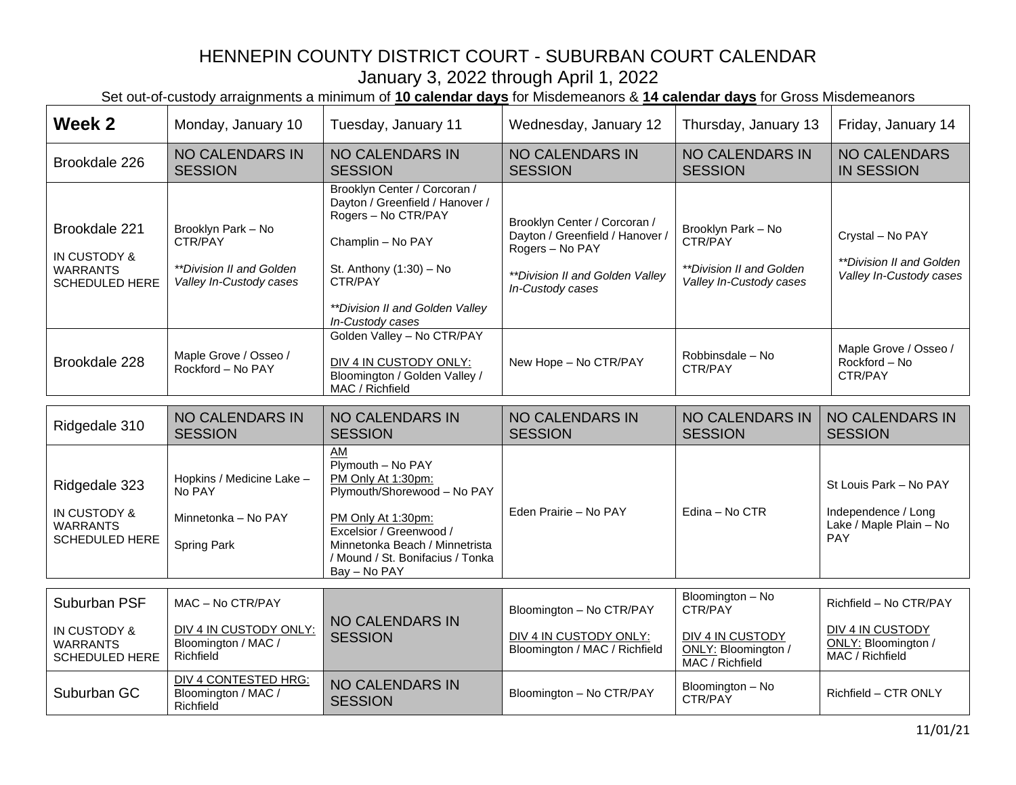| Week 2                                                                    | Monday, January 10                                                                                            | Tuesday, January 11                                                                                                                                                                                                 | Wednesday, January 12                                                                                                                     | Thursday, January 13                                                                      | Friday, January 14                                                                     |
|---------------------------------------------------------------------------|---------------------------------------------------------------------------------------------------------------|---------------------------------------------------------------------------------------------------------------------------------------------------------------------------------------------------------------------|-------------------------------------------------------------------------------------------------------------------------------------------|-------------------------------------------------------------------------------------------|----------------------------------------------------------------------------------------|
| Brookdale 226                                                             | <b>NO CALENDARS IN</b><br><b>SESSION</b>                                                                      | <b>NO CALENDARS IN</b><br><b>SESSION</b>                                                                                                                                                                            | <b>NO CALENDARS IN</b><br><b>SESSION</b>                                                                                                  | <b>NO CALENDARS IN</b><br><b>SESSION</b>                                                  | <b>NO CALENDARS</b><br><b>IN SESSION</b>                                               |
| Brookdale 221<br>IN CUSTODY &<br><b>WARRANTS</b><br><b>SCHEDULED HERE</b> | Brooklyn Park - No<br>CTR/PAY<br>**Division II and Golden<br>Valley In-Custody cases                          | Brooklyn Center / Corcoran /<br>Dayton / Greenfield / Hanover /<br>Rogers - No CTR/PAY<br>Champlin - No PAY<br>St. Anthony (1:30) - No<br>CTR/PAY<br>**Division II and Golden Valley<br>In-Custody cases            | Brooklyn Center / Corcoran /<br>Dayton / Greenfield / Hanover /<br>Rogers - No PAY<br>**Division II and Golden Valley<br>In-Custody cases | Brooklyn Park - No<br>CTR/PAY<br>**Division II and Golden<br>Valley In-Custody cases      | Crystal - No PAY<br>**Division II and Golden<br>Valley In-Custody cases                |
| Brookdale 228                                                             | Maple Grove / Osseo /<br>Rockford - No PAY                                                                    | Golden Valley - No CTR/PAY<br>DIV 4 IN CUSTODY ONLY:<br>Bloomington / Golden Valley /<br>MAC / Richfield                                                                                                            | New Hope - No CTR/PAY                                                                                                                     | Robbinsdale - No<br>CTR/PAY                                                               | Maple Grove / Osseo /<br>Rockford - No<br>CTR/PAY                                      |
| Ridgedale 310                                                             | <b>NO CALENDARS IN</b><br><b>SESSION</b>                                                                      | <b>NO CALENDARS IN</b><br><b>SESSION</b>                                                                                                                                                                            | <b>NO CALENDARS IN</b>                                                                                                                    | <b>NO CALENDARS IN</b>                                                                    | <b>NO CALENDARS IN</b>                                                                 |
|                                                                           |                                                                                                               |                                                                                                                                                                                                                     | <b>SESSION</b>                                                                                                                            | <b>SESSION</b>                                                                            | <b>SESSION</b>                                                                         |
| Ridgedale 323<br>IN CUSTODY &<br><b>WARRANTS</b><br><b>SCHEDULED HERE</b> | Hopkins / Medicine Lake -<br>No PAY<br>Minnetonka - No PAY<br>Spring Park                                     | AM<br>Plymouth - No PAY<br>PM Only At 1:30pm:<br>Plymouth/Shorewood - No PAY<br>PM Only At 1:30pm:<br>Excelsior / Greenwood /<br>Minnetonka Beach / Minnetrista<br>/ Mound / St. Bonifacius / Tonka<br>Bay - No PAY | Eden Prairie - No PAY                                                                                                                     | Edina - No CTR                                                                            | St Louis Park - No PAY<br>Independence / Long<br>Lake / Maple Plain - No<br><b>PAY</b> |
| Suburban PSF<br>IN CUSTODY &<br><b>WARRANTS</b><br><b>SCHEDULED HERE</b>  | MAC - No CTR/PAY<br>DIV 4 IN CUSTODY ONLY:<br>Bloomington / MAC /<br>Richfield<br><b>DIV 4 CONTESTED HRG:</b> | <b>NO CALENDARS IN</b><br><b>SESSION</b><br><b>NO CALENDARS IN</b>                                                                                                                                                  | Bloomington - No CTR/PAY<br>DIV 4 IN CUSTODY ONLY:<br>Bloomington / MAC / Richfield                                                       | Bloomington - No<br>CTR/PAY<br>DIV 4 IN CUSTODY<br>ONLY: Bloomington /<br>MAC / Richfield | Richfield - No CTR/PAY<br>DIV 4 IN CUSTODY<br>ONLY: Bloomington /<br>MAC / Richfield   |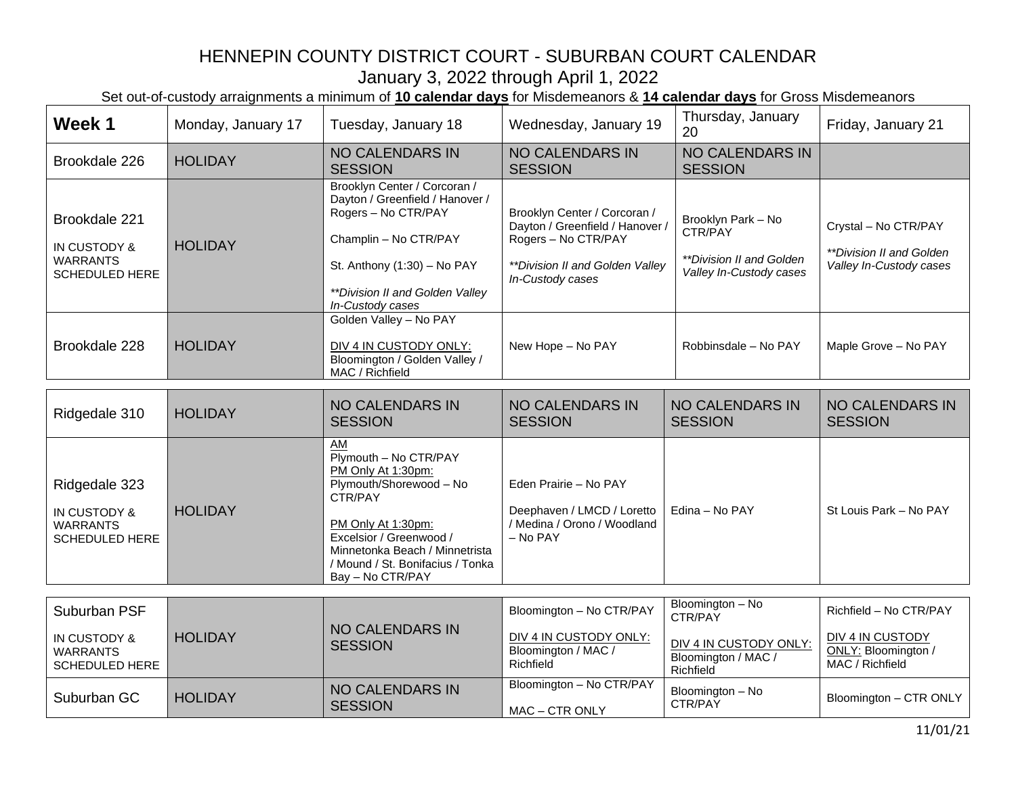| Week 1                                                                    | Monday, January 17 | Tuesday, January 18                                                                                                                                                                                                                | Wednesday, January 19                                                                                                                         | Thursday, January<br>20                                                              | Friday, January 21                                                          |
|---------------------------------------------------------------------------|--------------------|------------------------------------------------------------------------------------------------------------------------------------------------------------------------------------------------------------------------------------|-----------------------------------------------------------------------------------------------------------------------------------------------|--------------------------------------------------------------------------------------|-----------------------------------------------------------------------------|
| Brookdale 226                                                             | <b>HOLIDAY</b>     | <b>NO CALENDARS IN</b><br><b>SESSION</b>                                                                                                                                                                                           | <b>NO CALENDARS IN</b><br><b>SESSION</b>                                                                                                      | <b>NO CALENDARS IN</b><br><b>SESSION</b>                                             |                                                                             |
| Brookdale 221<br>IN CUSTODY &<br><b>WARRANTS</b><br>SCHEDULED HERE        | <b>HOLIDAY</b>     | Brooklyn Center / Corcoran /<br>Dayton / Greenfield / Hanover /<br>Rogers - No CTR/PAY<br>Champlin - No CTR/PAY<br>St. Anthony (1:30) - No PAY<br>**Division II and Golden Valley<br>In-Custody cases                              | Brooklyn Center / Corcoran /<br>Dayton / Greenfield / Hanover /<br>Rogers - No CTR/PAY<br>**Division II and Golden Valley<br>In-Custody cases | Brooklyn Park - No<br>CTR/PAY<br>**Division II and Golden<br>Valley In-Custody cases | Crystal - No CTR/PAY<br>**Division II and Golden<br>Valley In-Custody cases |
| Brookdale 228                                                             | <b>HOLIDAY</b>     | Golden Valley - No PAY<br>DIV 4 IN CUSTODY ONLY:<br>Bloomington / Golden Valley /<br>MAC / Richfield                                                                                                                               | New Hope - No PAY                                                                                                                             | Robbinsdale - No PAY                                                                 | Maple Grove - No PAY                                                        |
| Ridgedale 310                                                             | <b>HOLIDAY</b>     | <b>NO CALENDARS IN</b><br><b>SESSION</b>                                                                                                                                                                                           | <b>NO CALENDARS IN</b><br><b>SESSION</b>                                                                                                      | <b>NO CALENDARS IN</b><br><b>SESSION</b>                                             | <b>NO CALENDARS IN</b><br><b>SESSION</b>                                    |
| Ridgedale 323<br>IN CUSTODY &<br><b>WARRANTS</b><br><b>SCHEDULED HERE</b> | <b>HOLIDAY</b>     | AM<br>Plymouth - No CTR/PAY<br>PM Only At 1:30pm:<br>Plymouth/Shorewood - No<br>CTR/PAY<br>PM Only At 1:30pm:<br>Excelsior / Greenwood /<br>Minnetonka Beach / Minnetrista<br>/ Mound / St. Bonifacius / Tonka<br>Bay - No CTR/PAY | Eden Prairie - No PAY<br>Deephaven / LMCD / Loretto<br>/ Medina / Orono / Woodland<br>$-$ No PAY                                              | Edina - No PAY                                                                       | St Louis Park - No PAY                                                      |
| Suburban PSF                                                              |                    |                                                                                                                                                                                                                                    | Bloomington - No CTR/PAY                                                                                                                      | Bloomington - No                                                                     | Richfield - No CTR/PAY                                                      |
| IN CUSTODY &<br><b>WARRANTS</b><br><b>SCHEDULED HERE</b>                  | <b>HOLIDAY</b>     | <b>NO CALENDARS IN</b><br><b>SESSION</b>                                                                                                                                                                                           | DIV 4 IN CUSTODY ONLY:<br>Bloomington / MAC /<br>Richfield                                                                                    | CTR/PAY<br>DIV 4 IN CUSTODY ONLY:<br>Bloomington / MAC /<br>Richfield                | <b>DIV 4 IN CUSTODY</b><br>ONLY: Bloomington /<br>MAC / Richfield           |
| Suburban GC                                                               | <b>HOLIDAY</b>     | NO CALENDARS IN<br><b>SESSION</b>                                                                                                                                                                                                  | Bloomington - No CTR/PAY<br>MAC - CTR ONLY                                                                                                    | Bloomington - No<br>CTR/PAY                                                          | Bloomington - CTR ONLY                                                      |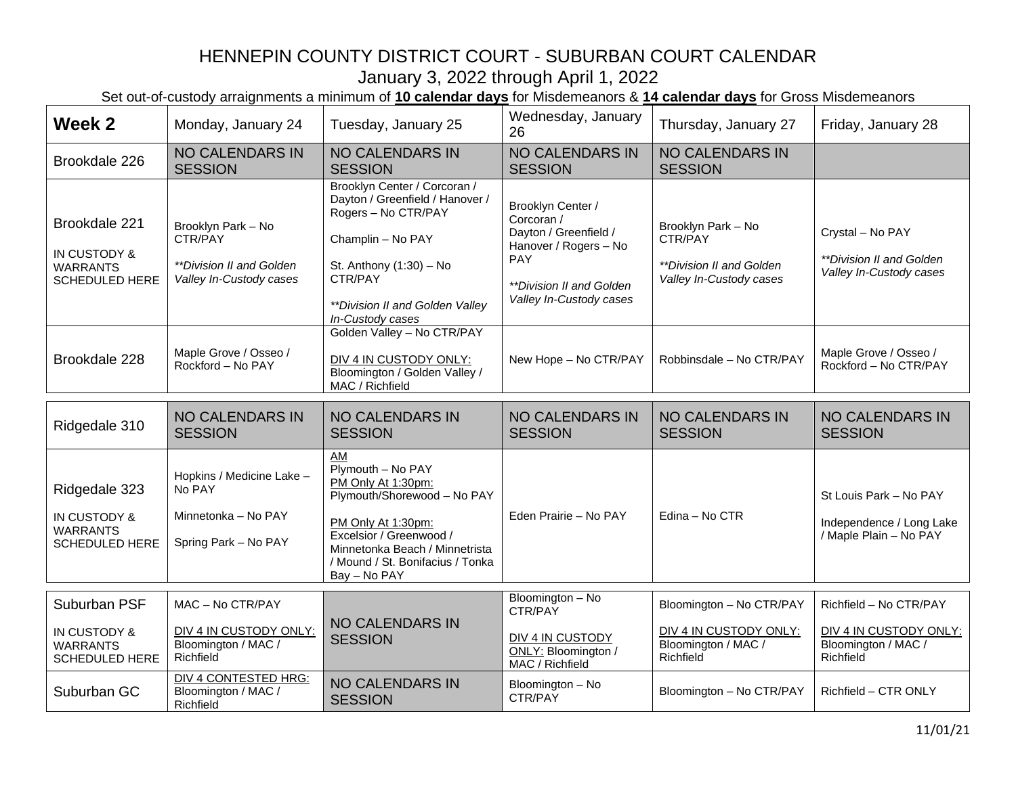| Week 2                                                                    | Monday, January 24                                                                          | Tuesday, January 25                                                                                                                                                                                                 | Wednesday, January<br>26                                                                                                                               | Thursday, January 27                                                                   | Friday, January 28                                                                   |
|---------------------------------------------------------------------------|---------------------------------------------------------------------------------------------|---------------------------------------------------------------------------------------------------------------------------------------------------------------------------------------------------------------------|--------------------------------------------------------------------------------------------------------------------------------------------------------|----------------------------------------------------------------------------------------|--------------------------------------------------------------------------------------|
| Brookdale 226                                                             | <b>NO CALENDARS IN</b><br><b>SESSION</b>                                                    | <b>NO CALENDARS IN</b><br><b>SESSION</b>                                                                                                                                                                            | <b>NO CALENDARS IN</b><br><b>SESSION</b>                                                                                                               | <b>NO CALENDARS IN</b><br><b>SESSION</b>                                               |                                                                                      |
| Brookdale 221<br>IN CUSTODY &<br><b>WARRANTS</b><br><b>SCHEDULED HERE</b> | Brooklyn Park - No<br>CTR/PAY<br><i>**Division II and Golden</i><br>Valley In-Custody cases | Brooklyn Center / Corcoran /<br>Dayton / Greenfield / Hanover /<br>Rogers - No CTR/PAY<br>Champlin - No PAY<br>St. Anthony (1:30) - No<br>CTR/PAY<br>**Division II and Golden Valley<br>In-Custody cases            | Brooklyn Center /<br>Corcoran /<br>Dayton / Greenfield /<br>Hanover / Rogers - No<br><b>PAY</b><br>**Division II and Golden<br>Valley In-Custody cases | Brooklyn Park - No<br>CTR/PAY<br>**Division II and Golden<br>Valley In-Custody cases   | Crystal - No PAY<br>**Division II and Golden<br>Valley In-Custody cases              |
| Brookdale 228                                                             | Maple Grove / Osseo /<br>Rockford - No PAY                                                  | Golden Valley - No CTR/PAY<br>DIV 4 IN CUSTODY ONLY:<br>Bloomington / Golden Valley /<br>MAC / Richfield                                                                                                            | New Hope - No CTR/PAY                                                                                                                                  | Robbinsdale - No CTR/PAY                                                               | Maple Grove / Osseo /<br>Rockford - No CTR/PAY                                       |
| Ridgedale 310                                                             | <b>NO CALENDARS IN</b><br><b>SESSION</b>                                                    | <b>NO CALENDARS IN</b><br><b>SESSION</b>                                                                                                                                                                            | <b>NO CALENDARS IN</b><br><b>SESSION</b>                                                                                                               | <b>NO CALENDARS IN</b><br><b>SESSION</b>                                               | <b>NO CALENDARS IN</b><br><b>SESSION</b>                                             |
| Ridgedale 323<br>IN CUSTODY &<br><b>WARRANTS</b><br><b>SCHEDULED HERE</b> | Hopkins / Medicine Lake -<br>No PAY<br>Minnetonka - No PAY<br>Spring Park - No PAY          | AM<br>Plymouth - No PAY<br>PM Only At 1:30pm:<br>Plymouth/Shorewood - No PAY<br>PM Only At 1:30pm:<br>Excelsior / Greenwood /<br>Minnetonka Beach / Minnetrista<br>/ Mound / St. Bonifacius / Tonka<br>Bay - No PAY | Eden Prairie - No PAY                                                                                                                                  | Edina - No CTR                                                                         | St Louis Park - No PAY<br>Independence / Long Lake<br>/ Maple Plain - No PAY         |
| Suburban PSF<br>IN CUSTODY &<br><b>WARRANTS</b><br><b>SCHEDULED HERE</b>  | MAC - No CTR/PAY<br>DIV 4 IN CUSTODY ONLY:<br>Bloomington / MAC /<br>Richfield              | <b>NO CALENDARS IN</b><br><b>SESSION</b>                                                                                                                                                                            | Bloomington - No<br>CTR/PAY<br>DIV 4 IN CUSTODY<br>ONLY: Bloomington /<br>MAC / Richfield                                                              | Bloomington - No CTR/PAY<br>DIV 4 IN CUSTODY ONLY:<br>Bloomington / MAC /<br>Richfield | Richfield - No CTR/PAY<br>DIV 4 IN CUSTODY ONLY:<br>Bloomington / MAC /<br>Richfield |
| Suburban GC                                                               | <b>DIV 4 CONTESTED HRG:</b><br>Bloomington / MAC /<br>Richfield                             | <b>NO CALENDARS IN</b><br><b>SESSION</b>                                                                                                                                                                            | Bloomington - No<br>CTR/PAY                                                                                                                            | Bloomington - No CTR/PAY                                                               | Richfield - CTR ONLY                                                                 |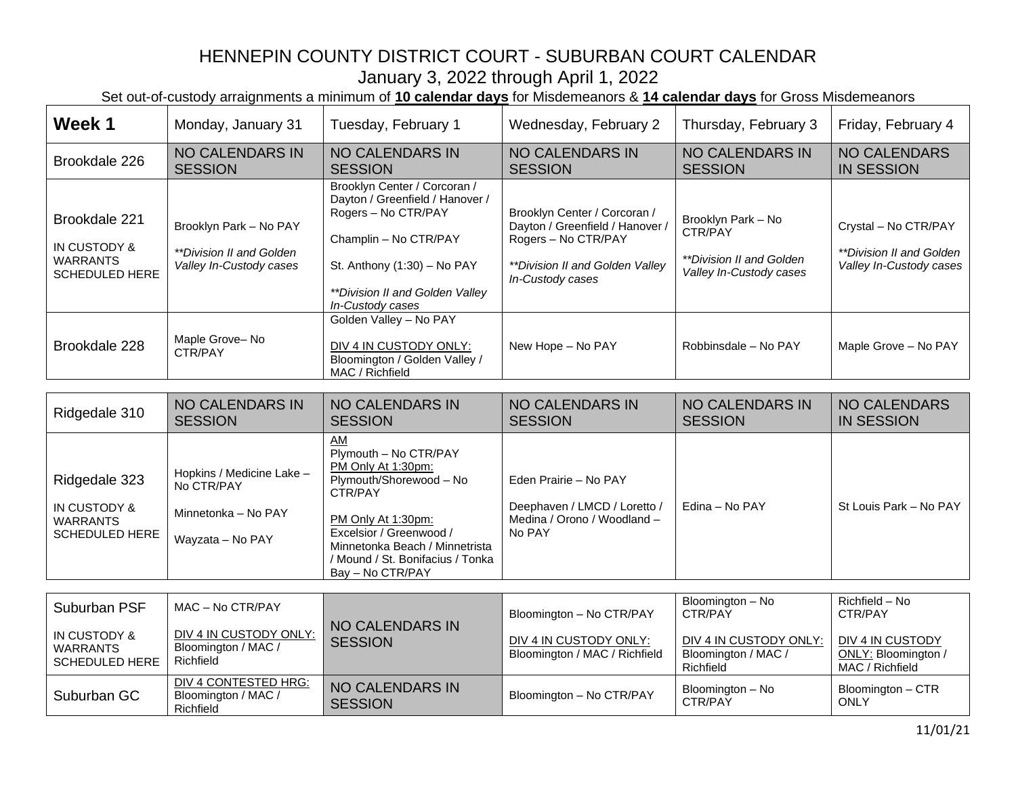| Week 1                                                                    | Monday, January 31                                                                 | Tuesday, February 1                                                                                                                                                                                                                | Wednesday, February 2                                                                                                                         | Thursday, February 3                                                                        | Friday, February 4                                                                 |
|---------------------------------------------------------------------------|------------------------------------------------------------------------------------|------------------------------------------------------------------------------------------------------------------------------------------------------------------------------------------------------------------------------------|-----------------------------------------------------------------------------------------------------------------------------------------------|---------------------------------------------------------------------------------------------|------------------------------------------------------------------------------------|
| Brookdale 226                                                             | <b>NO CALENDARS IN</b><br><b>SESSION</b>                                           | <b>NO CALENDARS IN</b><br><b>SESSION</b>                                                                                                                                                                                           | <b>NO CALENDARS IN</b><br><b>SESSION</b>                                                                                                      | <b>NO CALENDARS IN</b><br><b>SESSION</b>                                                    | <b>NO CALENDARS</b><br><b>IN SESSION</b>                                           |
| Brookdale 221<br>IN CUSTODY &<br><b>WARRANTS</b><br>SCHEDULED HERE        | Brooklyn Park - No PAY<br>**Division II and Golden<br>Valley In-Custody cases      | Brooklyn Center / Corcoran /<br>Dayton / Greenfield / Hanover /<br>Rogers - No CTR/PAY<br>Champlin - No CTR/PAY<br>St. Anthony (1:30) - No PAY<br>**Division II and Golden Valley<br>In-Custody cases                              | Brooklyn Center / Corcoran /<br>Dayton / Greenfield / Hanover /<br>Rogers - No CTR/PAY<br>**Division II and Golden Valley<br>In-Custody cases | Brooklyn Park - No<br>CTR/PAY<br><i>**Division II and Golden</i><br>Valley In-Custody cases | Crystal - No CTR/PAY<br><i>**Division II and Golden</i><br>Valley In-Custody cases |
| Brookdale 228                                                             | Maple Grove-No<br>CTR/PAY                                                          | Golden Valley - No PAY<br>DIV 4 IN CUSTODY ONLY:<br>Bloomington / Golden Valley /<br>MAC / Richfield                                                                                                                               | New Hope - No PAY                                                                                                                             | Robbinsdale - No PAY                                                                        | Maple Grove - No PAY                                                               |
|                                                                           |                                                                                    |                                                                                                                                                                                                                                    |                                                                                                                                               |                                                                                             |                                                                                    |
| Ridgedale 310                                                             | <b>NO CALENDARS IN</b><br><b>SESSION</b>                                           | <b>NO CALENDARS IN</b><br><b>SESSION</b>                                                                                                                                                                                           | <b>NO CALENDARS IN</b><br><b>SESSION</b>                                                                                                      | <b>NO CALENDARS IN</b><br><b>SESSION</b>                                                    | <b>NO CALENDARS</b><br><b>IN SESSION</b>                                           |
| Ridgedale 323<br>IN CUSTODY &<br><b>WARRANTS</b><br><b>SCHEDULED HERE</b> | Hopkins / Medicine Lake -<br>No CTR/PAY<br>Minnetonka - No PAY<br>Wayzata - No PAY | AM<br>Plymouth - No CTR/PAY<br>PM Only At 1:30pm:<br>Plymouth/Shorewood - No<br>CTR/PAY<br>PM Only At 1:30pm:<br>Excelsior / Greenwood /<br>Minnetonka Beach / Minnetrista<br>/ Mound / St. Bonifacius / Tonka<br>Bay - No CTR/PAY | Eden Prairie - No PAY<br>Deephaven / LMCD / Loretto /<br>Medina / Orono / Woodland -<br>No PAY                                                | Edina - No PAY                                                                              | St Louis Park - No PAY                                                             |
|                                                                           |                                                                                    |                                                                                                                                                                                                                                    |                                                                                                                                               |                                                                                             |                                                                                    |
| Suburban PSF<br>IN CUSTODY &                                              | MAC - No CTR/PAY<br>DIV 4 IN CUSTODY ONLY:                                         | <b>NO CALENDARS IN</b>                                                                                                                                                                                                             | Bloomington - No CTR/PAY                                                                                                                      | Bloomington - No<br>CTR/PAY                                                                 | Richfield - No<br>CTR/PAY                                                          |
| <b>WARRANTS</b><br><b>SCHEDULED HERE</b>                                  | Bloomington / MAC /<br>Richfield                                                   | <b>SESSION</b>                                                                                                                                                                                                                     | DIV 4 IN CUSTODY ONLY:<br>Bloomington / MAC / Richfield                                                                                       | DIV 4 IN CUSTODY ONLY:<br>Bloomington / MAC /<br>Richfield                                  | <b>DIV 4 IN CUSTODY</b><br>ONLY: Bloomington /<br>MAC / Richfield                  |
| Suburban GC                                                               | <b>DIV 4 CONTESTED HRG:</b><br>Bloomington / MAC /<br>Richfield                    | <b>NO CALENDARS IN</b><br><b>SESSION</b>                                                                                                                                                                                           | Bloomington - No CTR/PAY                                                                                                                      | Bloomington - No<br>CTR/PAY                                                                 | Bloomington - CTR<br><b>ONLY</b>                                                   |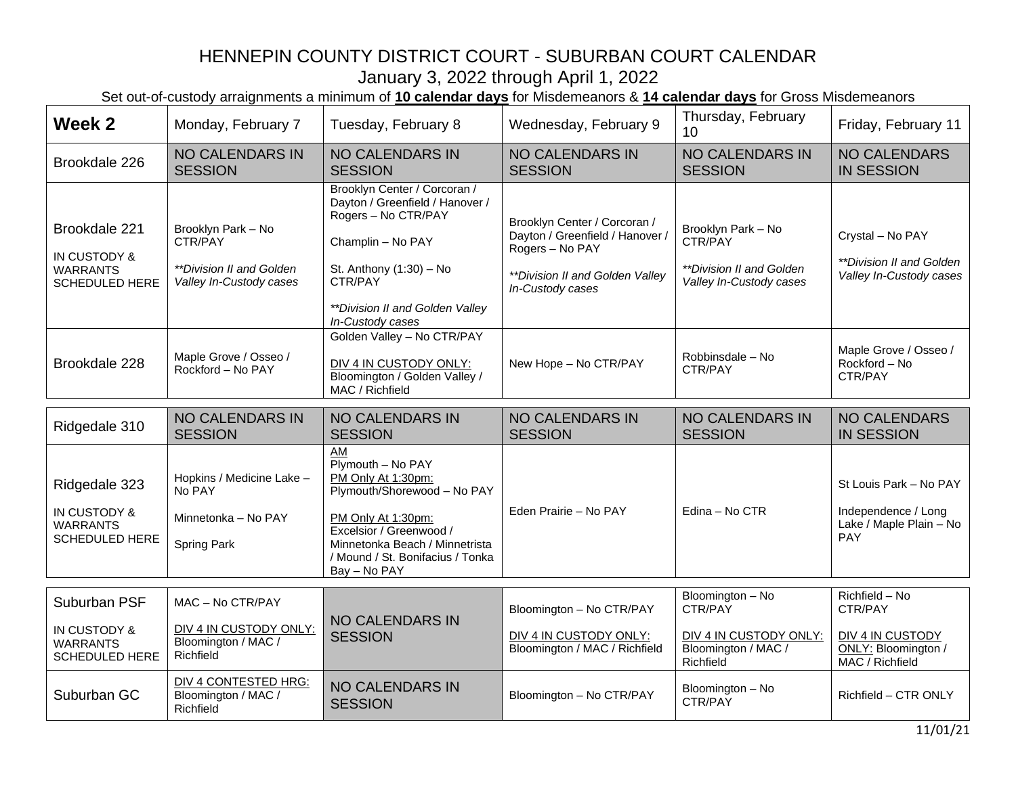| Week 2                                                                    | Monday, February 7                                                                   | Tuesday, February 8                                                                                                                                                                                                 | Wednesday, February 9                                                                                                                     | Thursday, February<br>10                                                                  | Friday, February 11                                                                     |
|---------------------------------------------------------------------------|--------------------------------------------------------------------------------------|---------------------------------------------------------------------------------------------------------------------------------------------------------------------------------------------------------------------|-------------------------------------------------------------------------------------------------------------------------------------------|-------------------------------------------------------------------------------------------|-----------------------------------------------------------------------------------------|
| Brookdale 226                                                             | <b>NO CALENDARS IN</b><br><b>SESSION</b>                                             | <b>NO CALENDARS IN</b><br><b>SESSION</b>                                                                                                                                                                            | <b>NO CALENDARS IN</b><br><b>SESSION</b>                                                                                                  | <b>NO CALENDARS IN</b><br><b>SESSION</b>                                                  | <b>NO CALENDARS</b><br><b>IN SESSION</b>                                                |
| Brookdale 221<br>IN CUSTODY &<br><b>WARRANTS</b><br><b>SCHEDULED HERE</b> | Brooklyn Park - No<br>CTR/PAY<br>**Division II and Golden<br>Valley In-Custody cases | Brooklyn Center / Corcoran /<br>Dayton / Greenfield / Hanover /<br>Rogers - No CTR/PAY<br>Champlin - No PAY<br>St. Anthony (1:30) - No<br>CTR/PAY<br>**Division II and Golden Valley<br>In-Custody cases            | Brooklyn Center / Corcoran /<br>Dayton / Greenfield / Hanover /<br>Rogers - No PAY<br>**Division II and Golden Valley<br>In-Custody cases | Brooklyn Park - No<br>CTR/PAY<br>**Division II and Golden<br>Valley In-Custody cases      | Crystal - No PAY<br>**Division II and Golden*<br>Valley In-Custody cases                |
| Brookdale 228                                                             | Maple Grove / Osseo /<br>Rockford - No PAY                                           | Golden Valley - No CTR/PAY<br>DIV 4 IN CUSTODY ONLY:<br>Bloomington / Golden Valley /<br>MAC / Richfield                                                                                                            | New Hope - No CTR/PAY                                                                                                                     | Robbinsdale - No<br>CTR/PAY                                                               | Maple Grove / Osseo /<br>Rockford - No<br>CTR/PAY                                       |
| Ridgedale 310                                                             | <b>NO CALENDARS IN</b><br><b>SESSION</b>                                             | NO CALENDARS IN<br><b>SESSION</b>                                                                                                                                                                                   | <b>NO CALENDARS IN</b><br><b>SESSION</b>                                                                                                  | <b>NO CALENDARS IN</b><br><b>SESSION</b>                                                  | <b>NO CALENDARS</b><br><b>IN SESSION</b>                                                |
| Ridgedale 323<br>IN CUSTODY &<br><b>WARRANTS</b><br><b>SCHEDULED HERE</b> | Hopkins / Medicine Lake -<br>No PAY<br>Minnetonka - No PAY<br>Spring Park            | AM<br>Plymouth - No PAY<br>PM Only At 1:30pm:<br>Plymouth/Shorewood - No PAY<br>PM Only At 1:30pm:<br>Excelsior / Greenwood /<br>Minnetonka Beach / Minnetrista<br>/ Mound / St. Bonifacius / Tonka<br>Bay - No PAY | Eden Prairie - No PAY                                                                                                                     | Edina - No CTR                                                                            | St Louis Park - No PAY<br>Independence / Long<br>Lake / Maple Plain - No<br><b>PAY</b>  |
| Suburban PSF<br>IN CUSTODY &<br><b>WARRANTS</b><br><b>SCHEDULED HERE</b>  | MAC - No CTR/PAY<br>DIV 4 IN CUSTODY ONLY:<br>Bloomington / MAC /<br>Richfield       | <b>NO CALENDARS IN</b><br><b>SESSION</b>                                                                                                                                                                            | Bloomington - No CTR/PAY<br>DIV 4 IN CUSTODY ONLY:<br>Bloomington / MAC / Richfield                                                       | Bloomington - No<br>CTR/PAY<br>DIV 4 IN CUSTODY ONLY:<br>Bloomington / MAC /<br>Richfield | Richfield - No<br>CTR/PAY<br>DIV 4 IN CUSTODY<br>ONLY: Bloomington /<br>MAC / Richfield |
| Suburban GC                                                               | DIV 4 CONTESTED HRG:<br>Bloomington / MAC /<br>Richfield                             | <b>NO CALENDARS IN</b><br><b>SESSION</b>                                                                                                                                                                            | Bloomington - No CTR/PAY                                                                                                                  | Bloomington - No<br>CTR/PAY                                                               | Richfield - CTR ONLY                                                                    |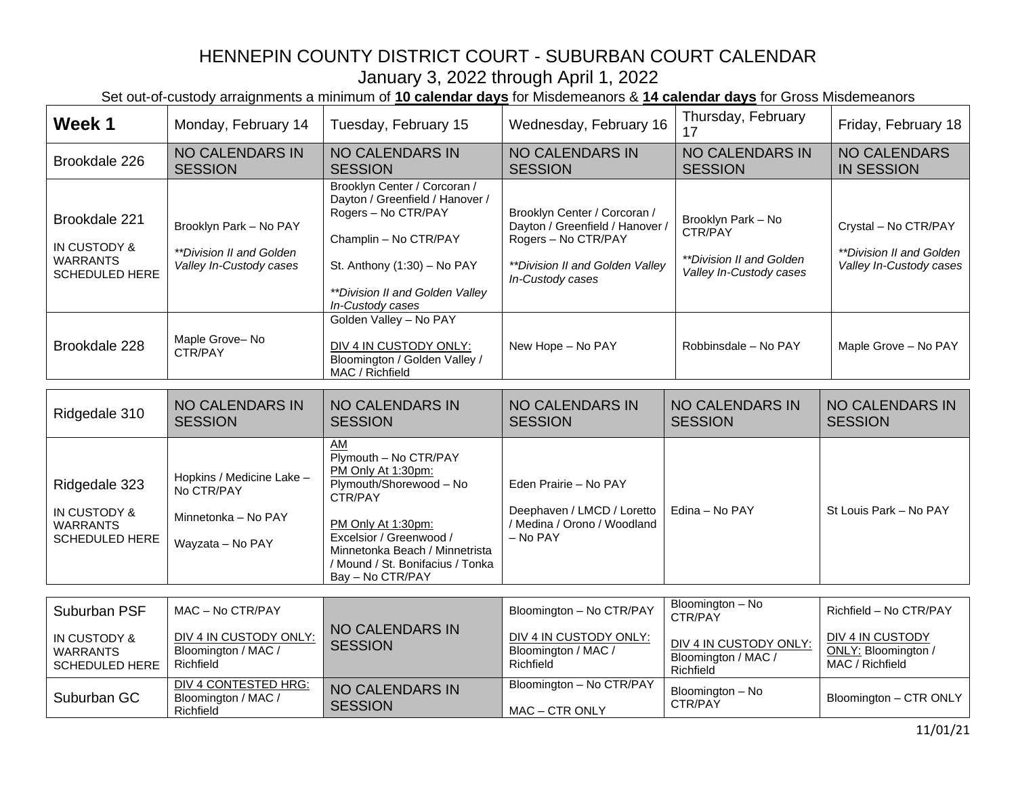| Week 1                                                                               | Monday, February 14                                                                | Tuesday, February 15                                                                                                                                                                                                               | Wednesday, February 16                                                                                                                        | Thursday, February<br>17                                                             | Friday, February 18                                                                |
|--------------------------------------------------------------------------------------|------------------------------------------------------------------------------------|------------------------------------------------------------------------------------------------------------------------------------------------------------------------------------------------------------------------------------|-----------------------------------------------------------------------------------------------------------------------------------------------|--------------------------------------------------------------------------------------|------------------------------------------------------------------------------------|
| Brookdale 226                                                                        | <b>NO CALENDARS IN</b><br><b>SESSION</b>                                           | <b>NO CALENDARS IN</b><br><b>SESSION</b>                                                                                                                                                                                           | <b>NO CALENDARS IN</b><br><b>SESSION</b>                                                                                                      | <b>NO CALENDARS IN</b><br><b>SESSION</b>                                             | <b>NO CALENDARS</b><br><b>IN SESSION</b>                                           |
| Brookdale 221<br>IN CUSTODY &<br><b>WARRANTS</b><br><b>SCHEDULED HERE</b>            | Brooklyn Park - No PAY<br>**Division II and Golden<br>Valley In-Custody cases      | Brooklyn Center / Corcoran /<br>Dayton / Greenfield / Hanover /<br>Rogers - No CTR/PAY<br>Champlin - No CTR/PAY<br>St. Anthony $(1:30)$ – No PAY<br>**Division II and Golden Valley<br>In-Custody cases                            | Brooklyn Center / Corcoran /<br>Dayton / Greenfield / Hanover /<br>Rogers - No CTR/PAY<br>**Division II and Golden Valley<br>In-Custody cases | Brooklyn Park - No<br>CTR/PAY<br>**Division II and Golden<br>Valley In-Custody cases | Crystal - No CTR/PAY<br><i>**Division II and Golden</i><br>Valley In-Custody cases |
| Brookdale 228                                                                        | Maple Grove-No<br>CTR/PAY                                                          | Golden Valley - No PAY<br>DIV 4 IN CUSTODY ONLY:<br>Bloomington / Golden Valley /<br>MAC / Richfield                                                                                                                               | New Hope - No PAY                                                                                                                             | Robbinsdale - No PAY                                                                 | Maple Grove - No PAY                                                               |
| Ridgedale 310                                                                        | <b>NO CALENDARS IN</b><br><b>SESSION</b>                                           | <b>NO CALENDARS IN</b><br><b>SESSION</b>                                                                                                                                                                                           | <b>NO CALENDARS IN</b><br><b>SESSION</b>                                                                                                      | <b>NO CALENDARS IN</b><br><b>SESSION</b>                                             | <b>NO CALENDARS IN</b><br><b>SESSION</b>                                           |
| Ridgedale 323<br><b>IN CUSTODY &amp;</b><br><b>WARRANTS</b><br><b>SCHEDULED HERE</b> | Hopkins / Medicine Lake -<br>No CTR/PAY<br>Minnetonka - No PAY<br>Wayzata - No PAY | AM<br>Plymouth - No CTR/PAY<br>PM Only At 1:30pm:<br>Plymouth/Shorewood - No<br>CTR/PAY<br>PM Only At 1:30pm:<br>Excelsior / Greenwood /<br>Minnetonka Beach / Minnetrista<br>/ Mound / St. Bonifacius / Tonka<br>Bay - No CTR/PAY | Eden Prairie - No PAY<br>Deephaven / LMCD / Loretto<br>/ Medina / Orono / Woodland<br>- No PAY                                                | Edina - No PAY                                                                       | St Louis Park - No PAY                                                             |
| Suburban PSF                                                                         | MAC - No CTR/PAY                                                                   |                                                                                                                                                                                                                                    | Bloomington - No CTR/PAY                                                                                                                      | Bloomington - No                                                                     | Richfield - No CTR/PAY                                                             |
| <b>IN CUSTODY &amp;</b><br><b>WARRANTS</b><br><b>SCHEDULED HERE</b>                  | DIV 4 IN CUSTODY ONLY:<br>Bloomington / MAC /<br>Richfield                         | <b>NO CALENDARS IN</b><br><b>SESSION</b>                                                                                                                                                                                           | DIV 4 IN CUSTODY ONLY:<br>Bloomington / MAC /<br>Richfield                                                                                    | CTR/PAY<br>DIV 4 IN CUSTODY ONLY:<br>Bloomington / MAC /<br>Richfield                | <b>DIV 4 IN CUSTODY</b><br>ONLY: Bloomington /<br>MAC / Richfield                  |
| Suburban GC                                                                          | <b>DIV 4 CONTESTED HRG:</b><br>Bloomington / MAC /<br>Richfield                    | NO CALENDARS IN<br><b>SESSION</b>                                                                                                                                                                                                  | Bloomington - No CTR/PAY<br>MAC - CTR ONLY                                                                                                    | Bloomington - No<br>CTR/PAY                                                          | Bloomington - CTR ONLY                                                             |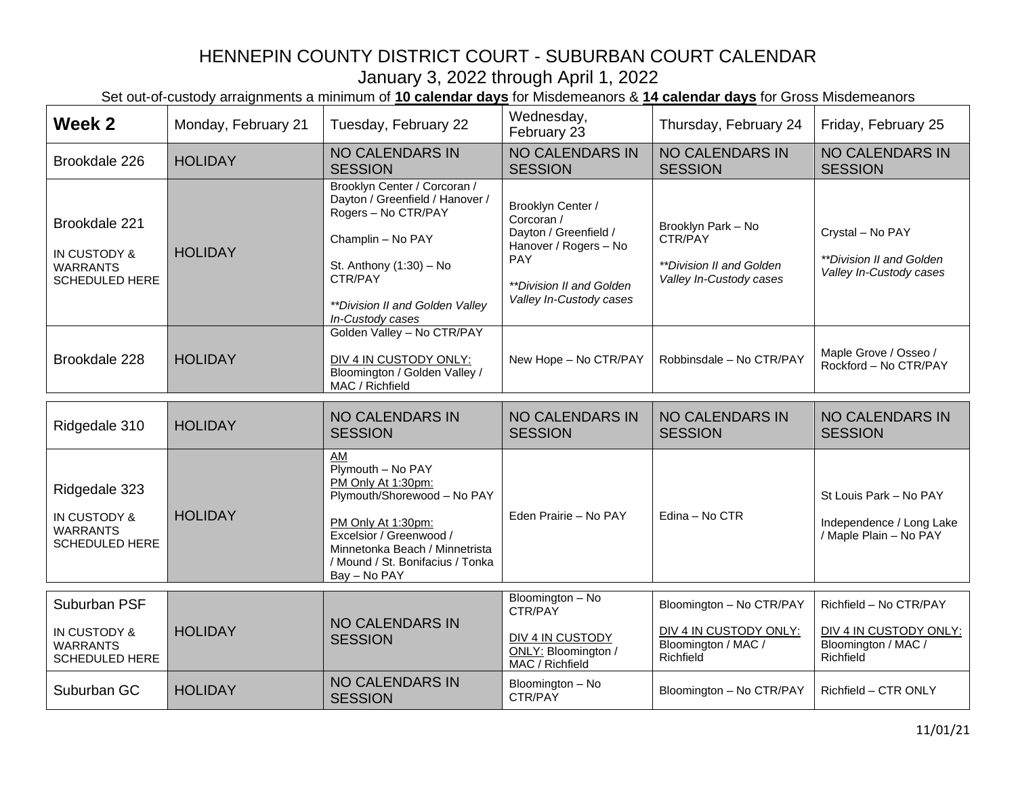| Week 2                                                                    | Monday, February 21 | Tuesday, February 22                                                                                                                                                                                                | Wednesday,<br>February 23                                                                                                                                            | Thursday, February 24                                                                  | Friday, February 25                                                                  |
|---------------------------------------------------------------------------|---------------------|---------------------------------------------------------------------------------------------------------------------------------------------------------------------------------------------------------------------|----------------------------------------------------------------------------------------------------------------------------------------------------------------------|----------------------------------------------------------------------------------------|--------------------------------------------------------------------------------------|
| Brookdale 226                                                             | <b>HOLIDAY</b>      | <b>NO CALENDARS IN</b><br><b>SESSION</b>                                                                                                                                                                            | <b>NO CALENDARS IN</b><br><b>SESSION</b>                                                                                                                             | <b>NO CALENDARS IN</b><br><b>SESSION</b>                                               | <b>NO CALENDARS IN</b><br><b>SESSION</b>                                             |
| Brookdale 221<br>IN CUSTODY &<br><b>WARRANTS</b><br><b>SCHEDULED HERE</b> | <b>HOLIDAY</b>      | Brooklyn Center / Corcoran /<br>Dayton / Greenfield / Hanover /<br>Rogers - No CTR/PAY<br>Champlin - No PAY<br>St. Anthony (1:30) - No<br>CTR/PAY<br>**Division II and Golden Valley<br>In-Custody cases            | Brooklyn Center /<br>Corcoran /<br>Dayton / Greenfield /<br>Hanover / Rogers - No<br><b>PAY</b><br><i><b>**Division II and Golden</b></i><br>Valley In-Custody cases | Brooklyn Park - No<br>CTR/PAY<br>**Division II and Golden<br>Valley In-Custody cases   | Crystal - No PAY<br>**Division II and Golden<br>Valley In-Custody cases              |
| Brookdale 228                                                             | <b>HOLIDAY</b>      | Golden Valley - No CTR/PAY<br>DIV 4 IN CUSTODY ONLY:<br>Bloomington / Golden Valley /<br>MAC / Richfield                                                                                                            | New Hope - No CTR/PAY                                                                                                                                                | Robbinsdale - No CTR/PAY                                                               | Maple Grove / Osseo /<br>Rockford - No CTR/PAY                                       |
| Ridgedale 310                                                             | <b>HOLIDAY</b>      | <b>NO CALENDARS IN</b><br><b>SESSION</b>                                                                                                                                                                            | <b>NO CALENDARS IN</b><br><b>SESSION</b>                                                                                                                             | <b>NO CALENDARS IN</b><br><b>SESSION</b>                                               | <b>NO CALENDARS IN</b><br><b>SESSION</b>                                             |
| Ridgedale 323<br>IN CUSTODY &<br><b>WARRANTS</b><br><b>SCHEDULED HERE</b> | <b>HOLIDAY</b>      | AM<br>Plymouth - No PAY<br>PM Only At 1:30pm:<br>Plymouth/Shorewood - No PAY<br>PM Only At 1:30pm:<br>Excelsior / Greenwood /<br>Minnetonka Beach / Minnetrista<br>/ Mound / St. Bonifacius / Tonka<br>Bay - No PAY | Eden Prairie - No PAY                                                                                                                                                | Edina - No CTR                                                                         | St Louis Park - No PAY<br>Independence / Long Lake<br>/ Maple Plain - No PAY         |
| Suburban PSF<br>IN CUSTODY &<br><b>WARRANTS</b><br>SCHEDULED HERE         | <b>HOLIDAY</b>      | <b>NO CALENDARS IN</b><br><b>SESSION</b>                                                                                                                                                                            | Bloomington - No<br>CTR/PAY<br>DIV 4 IN CUSTODY<br>ONLY: Bloomington /<br>MAC / Richfield                                                                            | Bloomington - No CTR/PAY<br>DIV 4 IN CUSTODY ONLY:<br>Bloomington / MAC /<br>Richfield | Richfield - No CTR/PAY<br>DIV 4 IN CUSTODY ONLY:<br>Bloomington / MAC /<br>Richfield |
| Suburban GC                                                               | <b>HOLIDAY</b>      | <b>NO CALENDARS IN</b><br><b>SESSION</b>                                                                                                                                                                            | Bloomington - No<br>CTR/PAY                                                                                                                                          | Bloomington - No CTR/PAY                                                               | Richfield - CTR ONLY                                                                 |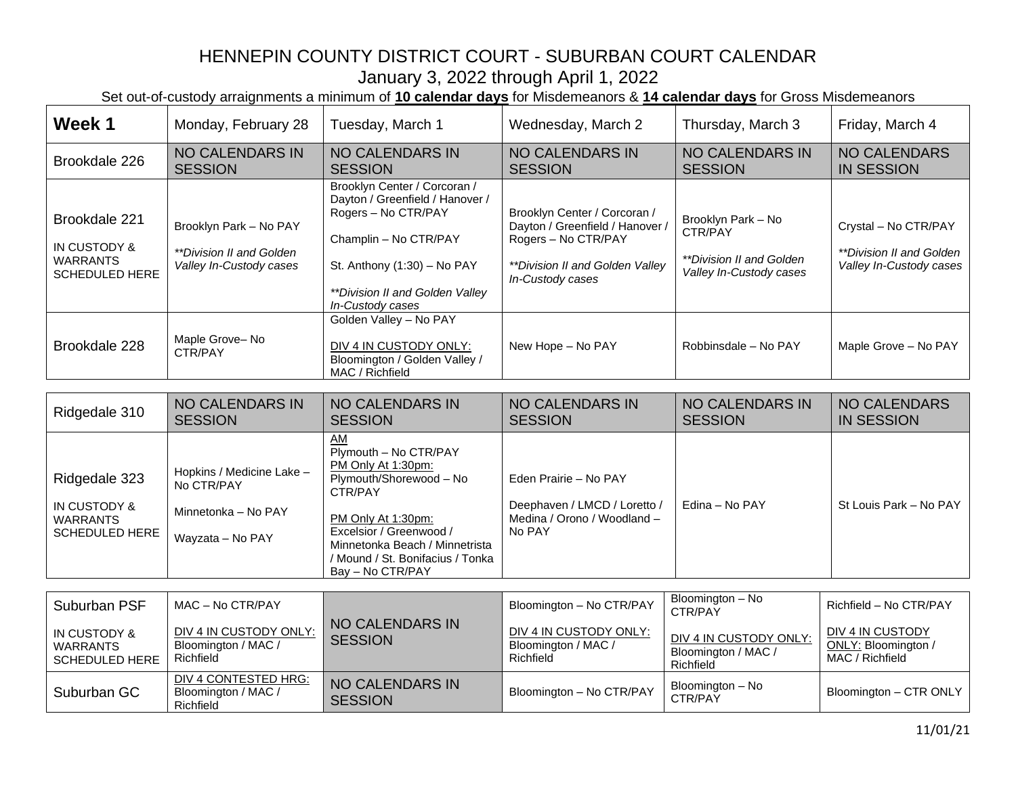Set out-of-custody arraignments a minimum of **10 calendar days** for Misdemeanors & **14 calendar days** for Gross Misdemeanors

| Week 1                                                                    | Monday, February 28                                                                | Tuesday, March 1                                                                                                                                                                                                                   | Wednesday, March 2                                                                                                                            | Thursday, March 3                                                                           | Friday, March 4                                                                    |
|---------------------------------------------------------------------------|------------------------------------------------------------------------------------|------------------------------------------------------------------------------------------------------------------------------------------------------------------------------------------------------------------------------------|-----------------------------------------------------------------------------------------------------------------------------------------------|---------------------------------------------------------------------------------------------|------------------------------------------------------------------------------------|
| Brookdale 226                                                             | <b>NO CALENDARS IN</b><br><b>SESSION</b>                                           | <b>NO CALENDARS IN</b><br><b>SESSION</b>                                                                                                                                                                                           | <b>NO CALENDARS IN</b><br><b>SESSION</b>                                                                                                      | <b>NO CALENDARS IN</b><br><b>SESSION</b>                                                    | <b>NO CALENDARS</b><br><b>IN SESSION</b>                                           |
| Brookdale 221<br>IN CUSTODY &<br><b>WARRANTS</b><br><b>SCHEDULED HERE</b> | Brooklyn Park - No PAY<br>**Division II and Golden<br>Valley In-Custody cases      | Brooklyn Center / Corcoran /<br>Dayton / Greenfield / Hanover /<br>Rogers - No CTR/PAY<br>Champlin - No CTR/PAY<br>St. Anthony (1:30) - No PAY<br>**Division II and Golden Valley<br>In-Custody cases                              | Brooklyn Center / Corcoran /<br>Dayton / Greenfield / Hanover /<br>Rogers - No CTR/PAY<br>**Division II and Golden Valley<br>In-Custody cases | Brooklyn Park - No<br>CTR/PAY<br><i>**Division II and Golden</i><br>Valley In-Custody cases | Crystal - No CTR/PAY<br><i>**Division II and Golden</i><br>Valley In-Custody cases |
| Brookdale 228                                                             | Maple Grove-No<br>CTR/PAY                                                          | Golden Valley - No PAY<br>DIV 4 IN CUSTODY ONLY:<br>Bloomington / Golden Valley /<br>MAC / Richfield                                                                                                                               | New Hope - No PAY                                                                                                                             | Robbinsdale - No PAY                                                                        | Maple Grove - No PAY                                                               |
|                                                                           | <b>NO CALENDARS IN</b>                                                             | <b>NO CALENDARS IN</b>                                                                                                                                                                                                             | <b>NO CALENDARS IN</b>                                                                                                                        | <b>NO CALENDARS IN</b>                                                                      | <b>NO CALENDARS</b>                                                                |
| Ridgedale 310                                                             | <b>SESSION</b>                                                                     | <b>SESSION</b>                                                                                                                                                                                                                     | <b>SESSION</b>                                                                                                                                | <b>SESSION</b>                                                                              | <b>IN SESSION</b>                                                                  |
| Ridgedale 323<br>IN CUSTODY &<br><b>WARRANTS</b><br>SCHEDULED HERE        | Hopkins / Medicine Lake -<br>No CTR/PAY<br>Minnetonka - No PAY<br>Wayzata - No PAY | AM<br>Plymouth - No CTR/PAY<br>PM Only At 1:30pm:<br>Plymouth/Shorewood - No<br>CTR/PAY<br>PM Only At 1:30pm:<br>Excelsior / Greenwood /<br>Minnetonka Beach / Minnetrista<br>/ Mound / St. Bonifacius / Tonka<br>Bay - No CTR/PAY | Eden Prairie - No PAY<br>Deephaven / LMCD / Loretto /<br>Medina / Orono / Woodland -<br>No PAY                                                | Edina - No PAY                                                                              | St Louis Park - No PAY                                                             |
|                                                                           |                                                                                    |                                                                                                                                                                                                                                    |                                                                                                                                               | Bloomington - No                                                                            |                                                                                    |
| Suburban PSF                                                              | MAC - No CTR/PAY                                                                   | <b>NO CALENDARS IN</b>                                                                                                                                                                                                             | Bloomington - No CTR/PAY                                                                                                                      | CTR/PAY                                                                                     | Richfield - No CTR/PAY                                                             |
| IN CUSTODY &<br><b>WARRANTS</b><br><b>SCHEDULED HERE</b>                  | DIV 4 IN CUSTODY ONLY:<br>Bloomington / MAC /<br>Richfield                         | <b>SESSION</b>                                                                                                                                                                                                                     | DIV 4 IN CUSTODY ONLY:<br>Bloomington / MAC /<br>Richfield                                                                                    | DIV 4 IN CUSTODY ONLY:<br>Bloomington / MAC /<br>Richfield                                  | DIV 4 IN CUSTODY<br>ONLY: Bloomington /<br>MAC / Richfield                         |
| Suburban GC                                                               | <b>DIV 4 CONTESTED HRG:</b><br>Bloomington / MAC /<br><b>Dichfiold</b>             | <b>NO CALENDARS IN</b><br><b>SESSION</b>                                                                                                                                                                                           | Bloomington - No CTR/PAY                                                                                                                      | Bloomington - No<br>CTR/PAY                                                                 | Bloomington - CTR ONLY                                                             |

**Richfield**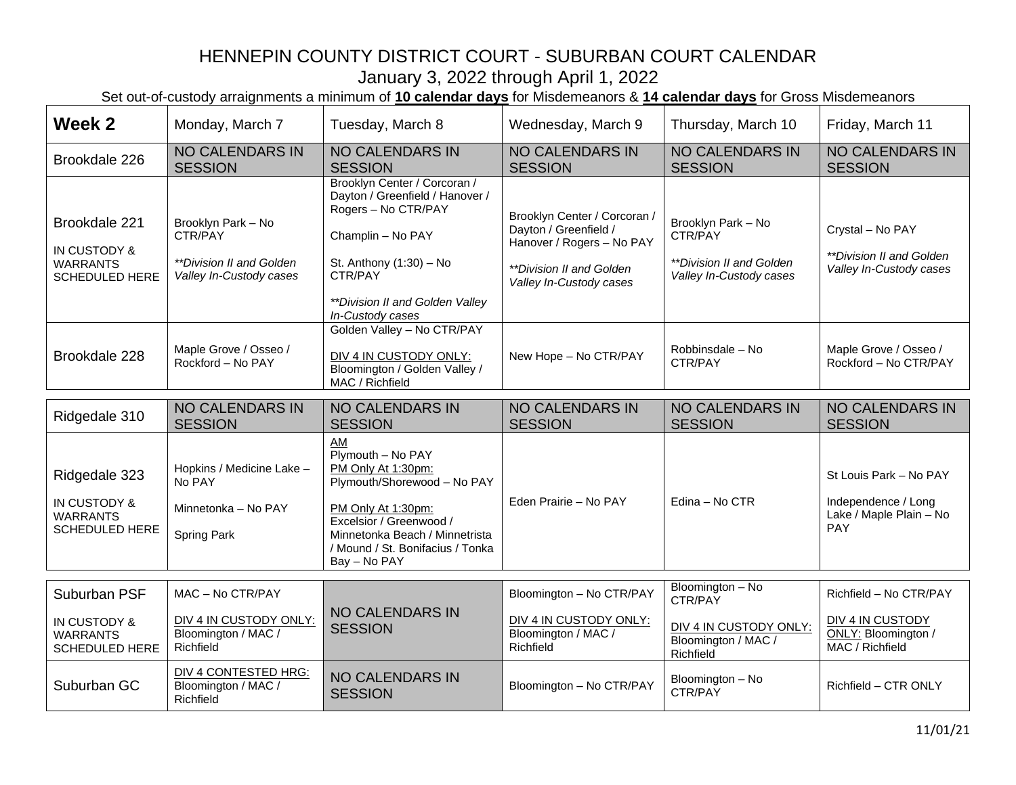| Week 2                                                                               | Monday, March 7                                                                                    | Tuesday, March 8                                                                                                                                                                                                    | Wednesday, March 9                                                                                                                        | Thursday, March 10                                                                   | Friday, March 11                                                                |
|--------------------------------------------------------------------------------------|----------------------------------------------------------------------------------------------------|---------------------------------------------------------------------------------------------------------------------------------------------------------------------------------------------------------------------|-------------------------------------------------------------------------------------------------------------------------------------------|--------------------------------------------------------------------------------------|---------------------------------------------------------------------------------|
| Brookdale 226                                                                        | <b>NO CALENDARS IN</b><br><b>SESSION</b>                                                           | <b>NO CALENDARS IN</b><br><b>SESSION</b>                                                                                                                                                                            | <b>NO CALENDARS IN</b><br><b>SESSION</b>                                                                                                  | <b>NO CALENDARS IN</b><br><b>SESSION</b>                                             | NO CALENDARS IN<br><b>SESSION</b>                                               |
| Brookdale 221<br><b>IN CUSTODY &amp;</b><br><b>WARRANTS</b><br><b>SCHEDULED HERE</b> | Brooklyn Park - No<br>CTR/PAY<br><i><b>**Division II and Golden</b></i><br>Valley In-Custody cases | Brooklyn Center / Corcoran /<br>Dayton / Greenfield / Hanover /<br>Rogers - No CTR/PAY<br>Champlin - No PAY<br>St. Anthony (1:30) - No<br>CTR/PAY<br>**Division II and Golden Valley<br>In-Custody cases            | Brooklyn Center / Corcoran /<br>Dayton / Greenfield /<br>Hanover / Rogers - No PAY<br>**Division II and Golden<br>Valley In-Custody cases | Brooklyn Park - No<br>CTR/PAY<br>**Division II and Golden<br>Valley In-Custody cases | Crystal - No PAY<br>**Division II and Golden<br>Valley In-Custody cases         |
| Brookdale 228                                                                        | Maple Grove / Osseo /<br>Rockford - No PAY                                                         | Golden Valley - No CTR/PAY<br>DIV 4 IN CUSTODY ONLY:<br>Bloomington / Golden Valley /<br>MAC / Richfield                                                                                                            | New Hope - No CTR/PAY                                                                                                                     | Robbinsdale - No<br>CTR/PAY                                                          | Maple Grove / Osseo /<br>Rockford - No CTR/PAY                                  |
| Ridgedale 310                                                                        | <b>NO CALENDARS IN</b><br><b>SESSION</b>                                                           | <b>NO CALENDARS IN</b><br><b>SESSION</b>                                                                                                                                                                            | NO CALENDARS IN<br><b>SESSION</b>                                                                                                         | <b>NO CALENDARS IN</b><br><b>SESSION</b>                                             | <b>NO CALENDARS IN</b><br><b>SESSION</b>                                        |
| Ridgedale 323<br><b>IN CUSTODY &amp;</b><br><b>WARRANTS</b><br><b>SCHEDULED HERE</b> | Hopkins / Medicine Lake -<br>No PAY<br>Minnetonka - No PAY<br>Spring Park                          | AM<br>Plymouth - No PAY<br>PM Only At 1:30pm:<br>Plymouth/Shorewood - No PAY<br>PM Only At 1:30pm:<br>Excelsior / Greenwood /<br>Minnetonka Beach / Minnetrista<br>/ Mound / St. Bonifacius / Tonka<br>Bay - No PAY | Eden Prairie - No PAY                                                                                                                     | Edina - No CTR                                                                       | St Louis Park - No PAY<br>Independence / Long<br>Lake / Maple Plain - No<br>PAY |
| Suburban PSF                                                                         | MAC - No CTR/PAY                                                                                   |                                                                                                                                                                                                                     | Bloomington - No CTR/PAY                                                                                                                  | Bloomington - No                                                                     | Richfield - No CTR/PAY                                                          |
| IN CUSTODY &<br><b>WARRANTS</b><br><b>SCHEDULED HERE</b>                             | DIV 4 IN CUSTODY ONLY:<br>Bloomington / MAC /<br>Richfield                                         | <b>NO CALENDARS IN</b><br><b>SESSION</b>                                                                                                                                                                            | DIV 4 IN CUSTODY ONLY:<br>Bloomington / MAC /<br>Richfield                                                                                | CTR/PAY<br>DIV 4 IN CUSTODY ONLY:<br>Bloomington / MAC /<br>Richfield                | DIV 4 IN CUSTODY<br>ONLY: Bloomington /<br>MAC / Richfield                      |
| Suburban GC                                                                          | <b>DIV 4 CONTESTED HRG:</b><br>Bloomington / MAC /<br>Richfield                                    | <b>NO CALENDARS IN</b><br><b>SESSION</b>                                                                                                                                                                            | Bloomington - No CTR/PAY                                                                                                                  | Bloomington - No<br>CTR/PAY                                                          | Richfield - CTR ONLY                                                            |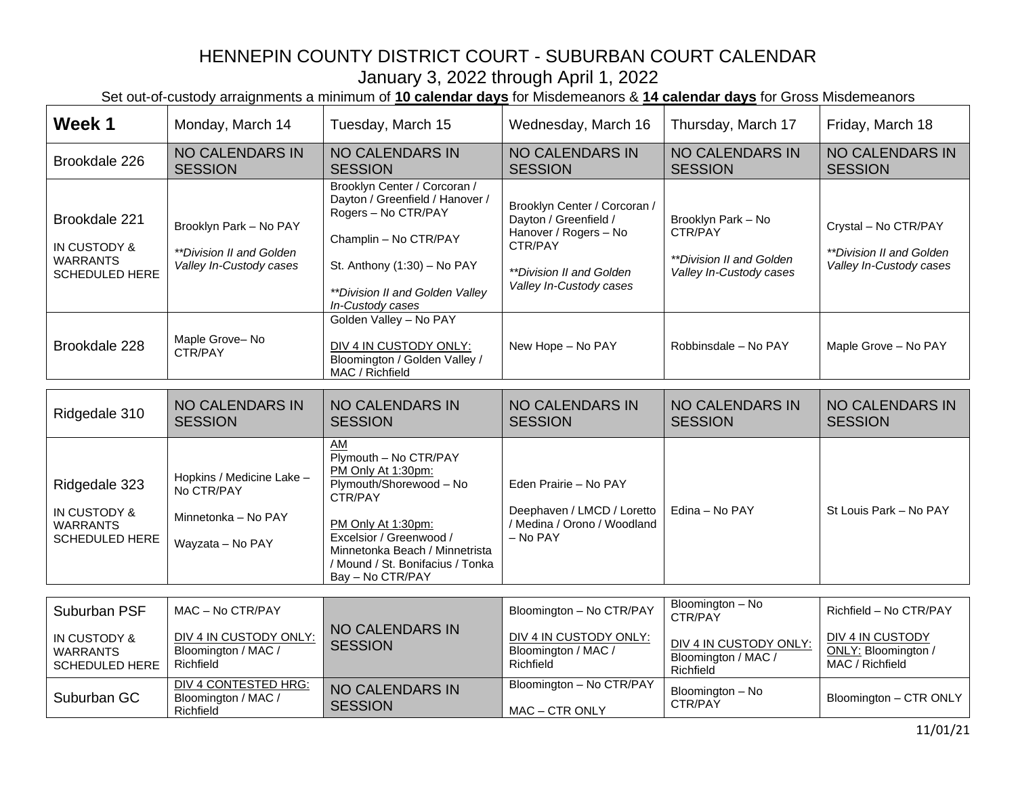Set out-of-custody arraignments a minimum of **10 calendar days** for Misdemeanors & **14 calendar days** for Gross Misdemeanors

- F

| Week 1                                                                    | Monday, March 14                                                                   | Tuesday, March 15                                                                                                                                                                                                                  | Wednesday, March 16                                                                                                                                     | Thursday, March 17                                                                        | Friday, March 18                                                                     |
|---------------------------------------------------------------------------|------------------------------------------------------------------------------------|------------------------------------------------------------------------------------------------------------------------------------------------------------------------------------------------------------------------------------|---------------------------------------------------------------------------------------------------------------------------------------------------------|-------------------------------------------------------------------------------------------|--------------------------------------------------------------------------------------|
| Brookdale 226                                                             | <b>NO CALENDARS IN</b><br><b>SESSION</b>                                           | <b>NO CALENDARS IN</b><br><b>SESSION</b>                                                                                                                                                                                           | <b>NO CALENDARS IN</b><br><b>SESSION</b>                                                                                                                | <b>NO CALENDARS IN</b><br><b>SESSION</b>                                                  | NO CALENDARS IN<br><b>SESSION</b>                                                    |
| Brookdale 221<br>IN CUSTODY &<br><b>WARRANTS</b><br>SCHEDULED HERE        | Brooklyn Park - No PAY<br>**Division II and Golden<br>Valley In-Custody cases      | Brooklyn Center / Corcoran /<br>Dayton / Greenfield / Hanover /<br>Rogers - No CTR/PAY<br>Champlin - No CTR/PAY<br>St. Anthony (1:30) - No PAY<br>**Division II and Golden Valley<br>In-Custody cases                              | Brooklyn Center / Corcoran /<br>Dayton / Greenfield /<br>Hanover / Rogers - No<br>CTR/PAY<br><i>**Division II and Golden</i><br>Valley In-Custody cases | Brooklyn Park - No<br>CTR/PAY<br>**Division II and Golden<br>Valley In-Custody cases      | Crystal - No CTR/PAY<br><i>**Division II and Golden</i><br>Valley In-Custody cases   |
| Brookdale 228                                                             | Maple Grove-No<br>CTR/PAY                                                          | Golden Valley - No PAY<br>DIV 4 IN CUSTODY ONLY:<br>Bloomington / Golden Valley /<br>MAC / Richfield                                                                                                                               | New Hope - No PAY                                                                                                                                       | Robbinsdale - No PAY                                                                      | Maple Grove - No PAY                                                                 |
| Ridgedale 310                                                             | <b>NO CALENDARS IN</b><br><b>SESSION</b>                                           | <b>NO CALENDARS IN</b><br><b>SESSION</b>                                                                                                                                                                                           | <b>NO CALENDARS IN</b><br><b>SESSION</b>                                                                                                                | <b>NO CALENDARS IN</b><br><b>SESSION</b>                                                  | <b>NO CALENDARS IN</b><br><b>SESSION</b>                                             |
| Ridgedale 323<br>IN CUSTODY &<br><b>WARRANTS</b><br><b>SCHEDULED HERE</b> | Hopkins / Medicine Lake -<br>No CTR/PAY<br>Minnetonka - No PAY<br>Wayzata - No PAY | AM<br>Plymouth - No CTR/PAY<br>PM Only At 1:30pm:<br>Plymouth/Shorewood - No<br>CTR/PAY<br>PM Only At 1:30pm:<br>Excelsior / Greenwood /<br>Minnetonka Beach / Minnetrista<br>/ Mound / St. Bonifacius / Tonka<br>Bay - No CTR/PAY | Eden Prairie - No PAY<br>Deephaven / LMCD / Loretto<br>/ Medina / Orono / Woodland<br>- No PAY                                                          | Edina - No PAY                                                                            | St Louis Park - No PAY                                                               |
| Suburban PSF<br>IN CUSTODY &<br><b>WARRANTS</b><br>SCHEDULED HERE         | MAC - No CTR/PAY<br>DIV 4 IN CUSTODY ONLY:<br>Bloomington / MAC /<br>Richfield     | <b>NO CALENDARS IN</b><br><b>SESSION</b>                                                                                                                                                                                           | Bloomington - No CTR/PAY<br>DIV 4 IN CUSTODY ONLY:<br>Bloomington / MAC /<br>Richfield                                                                  | Bloomington - No<br>CTR/PAY<br>DIV 4 IN CUSTODY ONLY:<br>Bloomington / MAC /<br>Richfield | Richfield - No CTR/PAY<br>DIV 4 IN CUSTODY<br>ONLY: Bloomington /<br>MAC / Richfield |
| Suburban GC                                                               | <b>DIV 4 CONTESTED HRG:</b><br>Bloomington / MAC /<br>Richfield                    | NO CALENDARS IN<br><b>SESSION</b>                                                                                                                                                                                                  | Bloomington - No CTR/PAY<br>MAC - CTR ONLY                                                                                                              | Bloomington - No<br>CTR/PAY                                                               | Bloomington - CTR ONLY                                                               |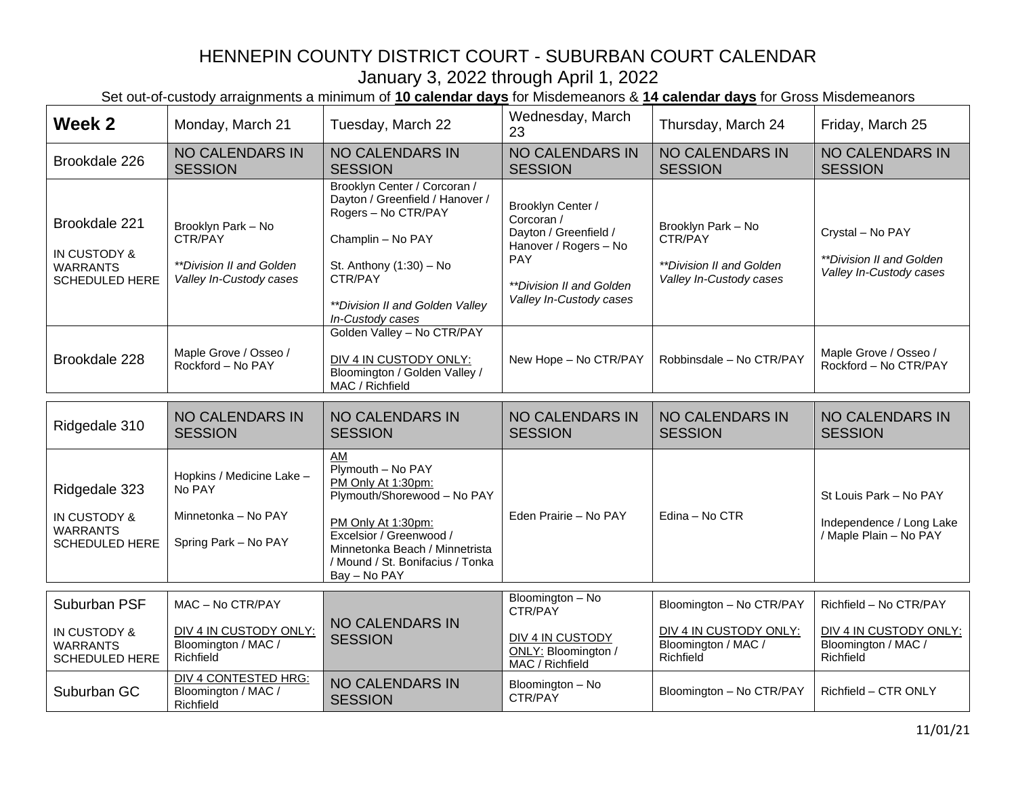| Week 2                                                                    | Monday, March 21                                                                     | Tuesday, March 22                                                                                                                                                                                                   | Wednesday, March<br>23                                                                                                                                               | Thursday, March 24                                                                     | Friday, March 25                                                                     |
|---------------------------------------------------------------------------|--------------------------------------------------------------------------------------|---------------------------------------------------------------------------------------------------------------------------------------------------------------------------------------------------------------------|----------------------------------------------------------------------------------------------------------------------------------------------------------------------|----------------------------------------------------------------------------------------|--------------------------------------------------------------------------------------|
| Brookdale 226                                                             | <b>NO CALENDARS IN</b><br><b>SESSION</b>                                             | <b>NO CALENDARS IN</b><br><b>SESSION</b>                                                                                                                                                                            | <b>NO CALENDARS IN</b><br><b>SESSION</b>                                                                                                                             | <b>NO CALENDARS IN</b><br><b>SESSION</b>                                               | NO CALENDARS IN<br><b>SESSION</b>                                                    |
| Brookdale 221<br>IN CUSTODY &<br><b>WARRANTS</b><br><b>SCHEDULED HERE</b> | Brooklyn Park - No<br>CTR/PAY<br>**Division II and Golden<br>Valley In-Custody cases | Brooklyn Center / Corcoran /<br>Dayton / Greenfield / Hanover /<br>Rogers - No CTR/PAY<br>Champlin - No PAY<br>St. Anthony (1:30) - No<br>CTR/PAY<br>**Division II and Golden Valley<br>In-Custody cases            | Brooklyn Center /<br>Corcoran /<br>Dayton / Greenfield /<br>Hanover / Rogers - No<br><b>PAY</b><br><i><b>**Division II and Golden</b></i><br>Valley In-Custody cases | Brooklyn Park - No<br>CTR/PAY<br>**Division II and Golden<br>Valley In-Custody cases   | Crystal - No PAY<br>**Division II and Golden<br>Valley In-Custody cases              |
| Brookdale 228                                                             | Maple Grove / Osseo /<br>Rockford - No PAY                                           | Golden Valley - No CTR/PAY<br>DIV 4 IN CUSTODY ONLY:<br>Bloomington / Golden Valley /<br>MAC / Richfield                                                                                                            | New Hope - No CTR/PAY                                                                                                                                                | Robbinsdale - No CTR/PAY                                                               | Maple Grove / Osseo /<br>Rockford - No CTR/PAY                                       |
| Ridgedale 310                                                             | <b>NO CALENDARS IN</b><br><b>SESSION</b>                                             | <b>NO CALENDARS IN</b><br><b>SESSION</b>                                                                                                                                                                            | <b>NO CALENDARS IN</b><br><b>SESSION</b>                                                                                                                             | <b>NO CALENDARS IN</b><br><b>SESSION</b>                                               | <b>NO CALENDARS IN</b><br><b>SESSION</b>                                             |
| Ridgedale 323<br>IN CUSTODY &<br><b>WARRANTS</b><br><b>SCHEDULED HERE</b> | Hopkins / Medicine Lake -<br>No PAY<br>Minnetonka - No PAY<br>Spring Park - No PAY   | AM<br>Plymouth - No PAY<br>PM Only At 1:30pm:<br>Plymouth/Shorewood - No PAY<br>PM Only At 1:30pm:<br>Excelsior / Greenwood /<br>Minnetonka Beach / Minnetrista<br>/ Mound / St. Bonifacius / Tonka<br>Bay - No PAY | Eden Prairie - No PAY                                                                                                                                                | Edina - No CTR                                                                         | St Louis Park - No PAY<br>Independence / Long Lake<br>/ Maple Plain - No PAY         |
| Suburban PSF<br>IN CUSTODY &<br><b>WARRANTS</b><br><b>SCHEDULED HERE</b>  | MAC - No CTR/PAY<br>DIV 4 IN CUSTODY ONLY:<br>Bloomington / MAC /<br>Richfield       | <b>NO CALENDARS IN</b><br><b>SESSION</b>                                                                                                                                                                            | Bloomington - No<br>CTR/PAY<br>DIV 4 IN CUSTODY<br>ONLY: Bloomington /<br>MAC / Richfield                                                                            | Bloomington - No CTR/PAY<br>DIV 4 IN CUSTODY ONLY:<br>Bloomington / MAC /<br>Richfield | Richfield - No CTR/PAY<br>DIV 4 IN CUSTODY ONLY:<br>Bloomington / MAC /<br>Richfield |
| Suburban GC                                                               | <b>DIV 4 CONTESTED HRG:</b><br>Bloomington / MAC /<br>Richfield                      | <b>NO CALENDARS IN</b><br><b>SESSION</b>                                                                                                                                                                            | Bloomington - No<br>CTR/PAY                                                                                                                                          | Bloomington - No CTR/PAY                                                               | Richfield - CTR ONLY                                                                 |